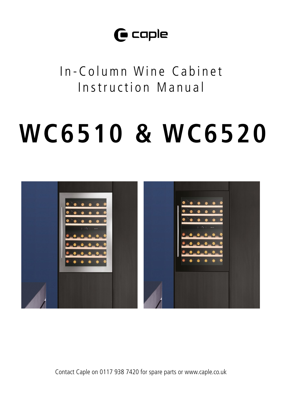# $\mathbf \Theta$  caple

In-Column Wine Cabinet Instruction Manual

# **WC6510 & WC6520**



Contact Caple on 0117 938 7420 for spare parts or www.caple.co.uk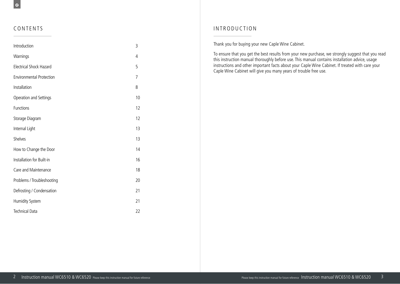#### CONTENTS

| Introduction                    | 3  |
|---------------------------------|----|
| Warnings                        | 4  |
| <b>Electrical Shock Hazard</b>  | 5  |
| <b>Environmental Protection</b> | 7  |
| Installation                    | 8  |
| Operation and Settings          | 10 |
| Functions                       | 12 |
| Storage Diagram                 | 12 |
| Internal Light                  | 13 |
| Shelves                         | 13 |
| How to Change the Door          | 14 |
| Installation for Built-in       | 16 |
| Care and Maintenance            | 18 |
| Problems / Troubleshooting      | 20 |
| Defrosting / Condensation       | 21 |
| Humidity System                 | 21 |
| <b>Technical Data</b>           | 22 |

### INTRODUCTION

Thank you for buying your new Caple Wine Cabinet.

To ensure that you get the best results from your new purchase, we strongly suggest that you read this instruction manual thoroughly before use. This manual contains installation advice, usage instructions and other important facts about your Caple Wine Cabinet. If treated with care your Caple Wine Cabinet will give you many years of trouble free use.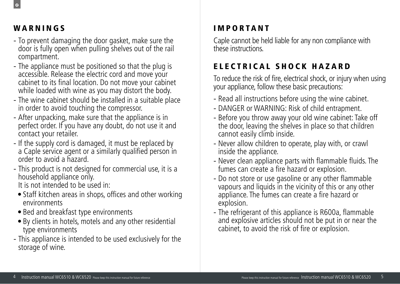# WARNINGS

 $\epsilon$ 

- To prevent damaging the door gasket, make sure the door is fully open when pulling shelves out of the rail compartment.
- The appliance must be positioned so that the plug is accessible. Release the electric cord and move your cabinet to its final location. Do not move your cabinet while loaded with wine as you may distort the body.
- The wine cabinet should be installed in a suitable place in order to avoid touching the compressor.
- After unpacking, make sure that the appliance is in perfect order. If you have any doubt, do not use it and contact your retailer.
- If the supply cord is damaged, it must be replaced by a Caple service agent or a similarly qualified person in order to avoid a hazard.
- This product is not designed for commercial use, it is a household appliance only.

It is not intended to be used in:

- Staff kitchen areas in shops, offices and other working environments
- Bed and breakfast type environments
- By clients in hotels, motels and any other residential type environments
- This appliance is intended to be used exclusively for the storage of wine.

# **IMPORTANT**

Caple cannot be held liable for any non compliance with these instructions.

# ELECTRICAL SHOCK HAZARD

To reduce the risk of fire, electrical shock, or injury when using your appliance, follow these basic precautions:

- Read all instructions before using the wine cabinet.
- DANGER or WARNING: Risk of child entrapment.
- Before you throw away your old wine cabinet: Take off the door, leaving the shelves in place so that children cannot easily climb inside.
- Never allow children to operate, play with, or crawl inside the appliance.
- Never clean appliance parts with flammable fluids. The fumes can create a fire hazard or explosion.
- Do not store or use gasoline or any other flammable vapours and liquids in the vicinity of this or any other appliance. The fumes can create a fire hazard or explosion.
- The refrigerant of this appliance is R600a, flammable and explosive articles should not be put in or near the cabinet, to avoid the risk of fire or explosion.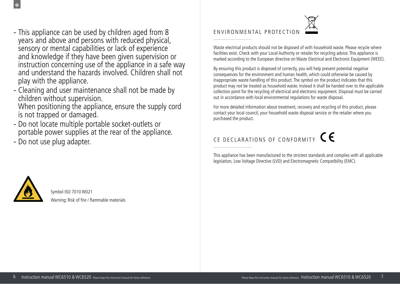- This appliance can be used by children aged from 8 years and above and persons with reduced physical, sensory or mental capabilities or lack of experience and knowledge if they have been given supervision or instruction concerning use of the appliance in a safe way and understand the hazards involved. Children shall not play with the appliance.
- Cleaning and user maintenance shall not be made by children without supervision. When positioning the appliance, ensure the supply cord

is not trapped or damaged.

- Do not locate multiple portable socket-outlets or portable power supplies at the rear of the appliance.
- Do not use plug adapter.

# ENVIRONMENTAL PROTECTION

Waste electrical products should not be disposed of with household waste. Please recycle where facilities exist. Check with your Local Authority or retailer for recycling advice. This appliance is marked according to the European directive on Waste Electrical and Electronic Equipment (WEEE).

By ensuring this product is disposed of correctly, you will help prevent potential negative consequences for the environment and human health, which could otherwise be caused by inappropriate waste handling of this product. The symbol on the product indicates that this product may not be treated as household waste. Instead it shall be handed over to the applicable collection point for the recycling of electrical and electronic equipment. Disposal must be carried out in accordance with local environmental regulations for waste disposal.

For more detailed information about treatment, recovery and recycling of this product, please contact your local council, your household waste disposal service or the retailer where you purchased the product.

# CE DECLARATIONS OF CONFORMITY CE

This appliance has been manufactured to the strictest standards and complies with all applicable legislation, Low Voltage Directive (LVD) and Electromagnetic Compatibility (EMC).



 $\epsilon$ 

Symbol ISO 7010 W021 Warning; Risk of fire / flammable materials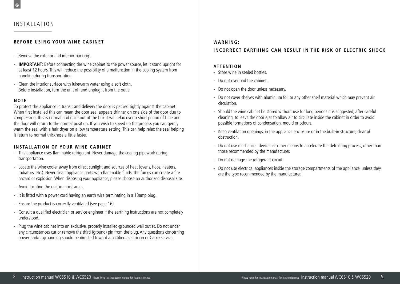### INSTALLATION

#### **BEFORE USING YOUR WINE CABINET**

- Remove the exterior and interior packing.
- **IMPORTANT**: Before connecting the wine cabinet to the power source, let it stand upright for at least 12 hours. This will reduce the possibility of a malfunction in the cooling system from handling during transportation.
- Clean the interior surface with lukewarm water using a soft cloth. Before installation, turn the unit off and unplug it from the outle

#### **NOTE**

To protect the appliance in transit and delivery the door is packed tightly against the cabinet. When first installed this can mean the door seal appears thinner on one side of the door due to compression, this is normal and once out of the box it will relax over a short period of time and the door will return to the normal position. If you wish to speed up the process you can gently warm the seal with a hair dryer on a low temperature setting. This can help relax the seal helping it return to normal thickness a little faster.

#### **INSTALLATION OF YOUR WINE CABINET**

- This appliance uses flammable refrigerant. Never damage the cooling pipework during transportation.
- Locate the wine cooler away from direct sunlight and sources of heat (ovens, hobs, heaters, radiators, etc.). Never clean appliance parts with flammable fluids. The fumes can create a fire hazard or explosion. When disposing your appliance, please choose an authorized disposal site.
- Avoid locating the unit in moist areas.
- It is fitted with a power cord having an earth wire terminating in a 13amp plug.
- Ensure the product is correctly ventilated (see page 16).
- Consult a qualified electrician or service engineer if the earthing instructions are not completely understood.
- Plug the wine cabinet into an exclusive, properly installed-grounded wall outlet. Do not under any circumstances cut or remove the third (ground) pin from the plug. Any questions concerning power and/or grounding should be directed toward a certified electrician or Caple service.

#### **WA R N I N G :**

#### **INCORRECT EARTHING CAN RESULT IN THE RISK OF ELECTRIC SHOCK**

#### **ATTENTION**

- Store wine in sealed bottles.
- Do not overload the cabinet.
- Do not open the door unless necessary.
- Do not cover shelves with aluminium foil or any other shelf material which may prevent air circulation.
- Should the wine cabinet be stored without use for long periods it is suggested, after careful cleaning, to leave the door ajar to allow air to circulate inside the cabinet in order to avoid possible formations of condensation, mould or odours.
- Keep ventilation openings, in the appliance enclosure or in the built-in structure, clear of obstruction.
- Do not use mechanical devices or other means to accelerate the defrosting process, other than those recommended by the manufacturer.
- Do not damage the refrigerant circuit.
- Do not use electrical appliances inside the storage compartments of the appliance, unless they are the type recommended by the manufacturer.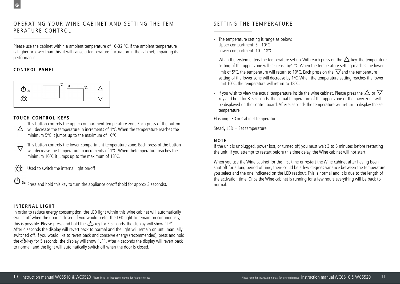### OPERATING YOUR WINE CABINET AND SETTING THE TEM - PERATURE CONTROL

Please use the cabinet within a ambient temperature of 16-32 °C. If the ambient temperature is higher or lower than this, it will cause a temperature fluctuation in the cabinet, impairing its performance.

#### **CONTROL PANEL**

 $\mathbf{C}$ 



#### **TOUCH CONTROL KEYS**

This button controls the upper compartment temperature zone. Each press of the button

- $\Delta$  will decrease the temperature in increments of 1°C. When the temperature reaches the minimum 5°C it jumps up to the maximum of 10°C.
- $\rightarrow$  This button controls the lower compartment temperature zone. Each press of the button minimum 10°C it jumps up to the maximum of 18°C. will decrease the temperature in increments of 1°C. When thetemperature reaches the
- Used to switch the internal light on/off switch of  $\mathcal{L}$  when the door is closed. If you would prefer the LED light to remain on continuously,  $\mathcal{L}$  $E = \frac{1}{\sqrt{2\pi}}$

 $\mathbfcal{D}$  as press and hold this key to turn the appliance on/off (hold for approx 3 seconds).  $\mathcal{L}$  the temperature in increments of the temperature in increments of 1 $\mathcal{L}$  $\mathcal{L}$  3s

this is possible. Please press and hold the key for 5 seconds, the display will show "LP".

## **INTERNAL LIGHT**

In order to reduce energy consumption, the LED light within this wine cabinet will automatically  $\Lambda$ ftor  $\Lambda$  coconde the display will seconds the display wild here is continuously wild would be Equal to remain the LED lines. switched off. If you would like to revert back and conserve energy (recommended), press and hold the  $\frac{1}{2}$ : key for 5 seconds the unit switched off. If you would like to revert back and conserve energy (recommended), press and to normal, and the light will automatically switch off when the door is closed. switch off when the door is closed. If you would prefer the LED light to remain on continuously,  $t$  is  $t$ . Possible, the seconds, the show  $s$ this is possible. Please press and hold the  $\frac{1}{2}C \div \sqrt{2}$  for 5 seconds, the display will show "LP". After 4 seconds the display will revert back to normal and the light will remain on until manually the EC: key for 5 seconds, the display will show "LF". After 4 seconds the display will revert back

# SETTING THE TEMPERATURE

- The temperature setting is range as below: Upper compartment: 5 - 10ºC Lower compartment: 10 - 18ºC
- When the system enters the temperature set up. With each press on the  $\Delta$  key, the temperature setting of the upper zone will decrease by1 °C. When the temperature setting reaches the lower limit of 5°C, the temperature will return to 10°C. Each press on the  $\vee$  and the temperature setting of the lower zone will decrease by 1ºC. When the temperature setting reaches the lower limit 10ºC, the temperature will return to 18ºC.
- If you wish to view the actual temperature inside the wine cabinet. Please press the  $\Delta$  or key and hold for 3-5 seconds. The actual temperature of the upper zone or the lower zone will be displayed on the control board. After 5 seconds the temperature will return to display the set temperature.

 $F$ lashing LED = Cabinet temperature. temperature reaches the minimum 10ºC it jumps up to the maximum of 18ºC. temperature reaches the minimum 10ºC it jumps up to the maximum of 18ºC.

Steady LED = Set temperature.

#### **NOTE**

you attempt to restart before this time delay, the Wine cabinet will not start. The lower controls on the lower comparison computer temperature  $\alpha$ IT OT E<br>If the unit is unplugged, power lost, or turned off, you must wait 3 to 5 minutes before restarting the unit. If you attempt to restart before this time delay, the Wine cabinet will not start.

ie Wine cabinet for the first time or restart the Wine cabinet after having been shut off for a long period of time, there could be a few degrees variance between the temperature  $\sim$  second indicated an the LED readers. This is normal and it is due to the langular function is one indicated on the LLD readout. This is nomial and it is due to the length of the activation time. Once the Wine cabinet is running for a few hours everything will be back to When you use the Wine cabinet for the first time or restart the Wine cabinet after having been a light 4 second stands the display will repeat to normal and the light will remain on unit manually remained you select and the one indicated on the LED readout. This is normal and it is due to the length of switch off when the door is closed. If you would prefer the LED light to remain on continuously, normal.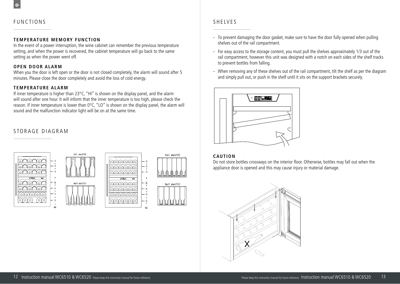# **FUNCTIONS**

#### **T E M P E R AT U R E M E M O RY F U N C T I O N**

In the event of a power interruption, the wine cabinet can remember the previous temperature setting, and when the power is recovered, the cabinet temperature will go back to the same setting as when the power went off.

#### **OPEN DOOR ALARM**

When you the door is left open or the door is not closed completely, the alarm will sound after 5 • minutes. Please close the door completely and avoid the loss of cold energy.

#### **TEMPERATURE ALARM**

If inner temperature is higher than 23°C, "HI" is shown on the display panel, and the alarm will sound after one hour. It will inform that the inner temperature is too high, please check the reason. If inner temperature is lower than 0°C, "LO" is shown on the display panel, the alarm will sound and the malfunction indicator light will be on at the same time.

### STORAGE DIAGRAM



# **SHEIVES**

- To prevent damaging the door gasket, make sure to have the door fully opened when pulling shelves out of the rail compartment.
- For easy access to the storage content, you must pull the shelves approximately 1/3 out of the rail compartment, however this unit was designed with a notch on each sides of the shelf tracks to prevent bottles from falling.
- When removing any of these shelves out of the rail compartment, tilt the shelf as per the diagram and simply pull out, or push in the shelf until it sits on the support brackets securely.



#### **CAUTION**

**6**

Do not store bottles crossways on the interior floor. Otherwise, bottles may fall out when the appliance door is opened and this may cause injury or material damage.

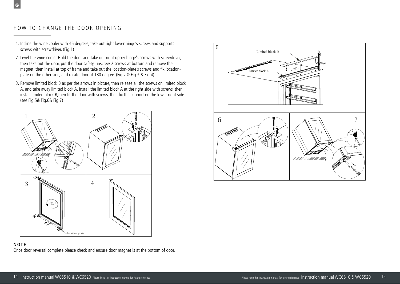# HOW TO CHANGE THE DOOR OPENING

 $\epsilon$ 

- 1. Incline the wine cooler with 45 degrees, take out right lower hinge's screws and supports screws with screwdriver. (Fig.1)
- 2. Level the wine cooler Hold the door and take out right upper hinge's screws with screwdriver, then take out the door, put the door safety, unscrew 2 screws at bottom and remove the magnet, then install at top of frame,and take out the location-plate's screws and fix locationplate on the other side, and rotate door at 180 degree. (Fig.2 & Fig.3 & Fig.4)
- 3. Remove limited block B as per the arrows in picture, then release all the screws on limited block A, and take away limited block A. Install the limited block A at the right side with screws, then install limited block B,then fit the door with screws, then fix the support on the lower right side. (see Fig.5& Fig.6& Fig.7)



**NOTE** Once door reversal complete please check and ensure door magnet is at the bottom of door.

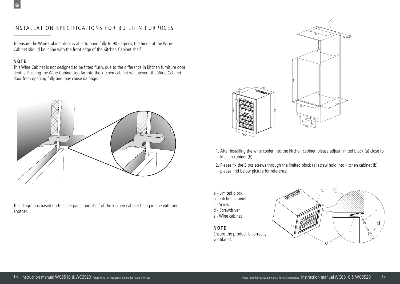# INSTALLATION SPECIFICATIONS FOR BUILT-IN PURPOSES

To ensure the Wine Cabinet door is able to open fully to 90 degrees, the hinge of the Wine Cabinet should be inline with the front edge of the Kitchen Cabinet shelf.

#### **NOTE**

 $\epsilon$ 

This Wine Cabinet is not designed to be fitted flush, due to the difference in kitchen furniture door depths. Pushing the Wine Cabinet too far into the kitchen cabinet will prevent the Wine Cabinet door from opening fully and may cause damage.



This diagram is based on the side panel and shelf of the kitchen cabinet being in line with one another.



- 1. After installing the wine cooler into the kitchen cabinet, please adjust limited block (a) close to kitchen cabinet (b).
- 2. Please fix the 3 pcs screws through the limited block (a) screw hold into kitchen cabinet (b), please find below picture for reference.
- a Limited block
- b Kitchen cabinet
- c Screw
- d Screwdriver
- e Wine cabinet

#### **NOTE**

Ensure the product is correctly ventilated.

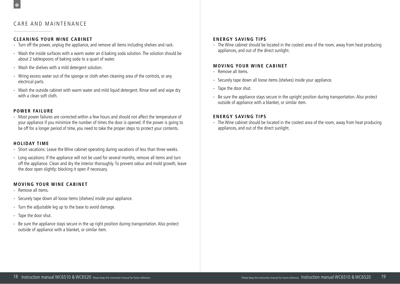$\mathbf{C}$ 

#### **CLEANING YOUR WINE CABINET**

- Turn off the power, unplug the appliance, and remove all items including shelves and rack.
- Wash the inside surfaces with a warm water an d baking soda solution. The solution should be about 2 tablespoons of baking soda to a quart of water.
- Wash the shelves with a mild detergent solution.
- Wring excess water out of the sponge or cloth when cleaning area of the controls, or any electrical parts.
- Wash the outside cabinet with warm water and mild liquid detergent. Rinse well and wipe dry with a clean soft cloth.

#### **POWER FAILURE**

- Most power failures are corrected within a few hours and should not affect the temperature of your appliance if you minimize the number of times the door is opened. If the power is going to be off for a longer period of time, you need to take the proper steps to protect your contents.

#### **HOLIDAY TIME**

- Short vacations: Leave the Wine cabinet operating during vacations of less than three weeks.
- Long vacations: If the appliance will not be used for several months, remove all items and turn off the appliance. Clean and dry the interior thoroughly. To prevent odour and mold growth, leave the door open slightly: blocking it open if necessary.

#### **MOVING YOUR WINE CABINET**

- Remove all items.
- Securely tape down all loose items (shelves) inside your appliance.
- Turn the adjustable leg up to the base to avoid damage.
- Tape the door shut.
- Be sure the appliance stays secure in the up right position during transportation. Also protect outside of appliance with a blanket, or similar item.

#### **ENERGY SAVING TIPS**

- The Wine cabinet should be located in the coolest area of the room, away from heat producing appliances, and out of the direct sunlight.

#### **MOVING YOUR WINE CABINET**

- Remove all items.
- Securely tape down all loose items (shelves) inside your appliance.
- Tape the door shut.
- Be sure the appliance stays secure in the upright position during transportation. Also protect outside of appliance with a blanket, or similar item.

#### **ENERGY SAVING TIPS**

- The Wine cabinet should be located in the coolest area of the room, away from heat producing appliances, and out of the direct sunlight.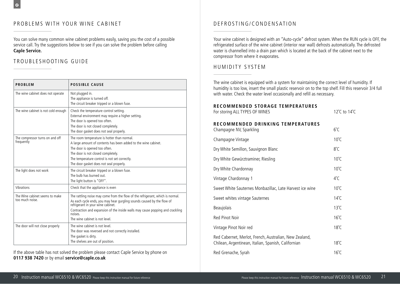# PROBLEMS WITH YOUR WINE CABINET

You can solve many common wine cabinet problems easily, saving you the cost of a possible service call. Try the suggestions below to see if you can solve the problem before calling **Caple Service.**

# TROUBLESHOOTING GUIDE

| <b>PROBLEM</b>                                    | <b>POSSIBLE CAUSE</b>                                                                                                                                                                                                                                                                                                      |
|---------------------------------------------------|----------------------------------------------------------------------------------------------------------------------------------------------------------------------------------------------------------------------------------------------------------------------------------------------------------------------------|
| The wine cabinet does not operate                 | Not plugged in.<br>The appliance is turned off.<br>The circuit breaker tripped or a blown fuse.                                                                                                                                                                                                                            |
| The wine cabinet is not cold enough               | Check the temperature control setting.<br>External environment may require a higher setting.<br>The door is opened too often.<br>The door is not closed completely.<br>The door gasket does not seal properly.                                                                                                             |
| The compressor turns on and off<br>frequently     | The room temperature is hotter than normal.<br>A large amount of contents has been added to the wine cabinet.<br>The door is opened too often.<br>The door is not closed completely.<br>The temperature control is not set correctly.<br>The door gasket does not seal properly.                                           |
| The light does not work                           | The circuit breaker tripped or a blown fuse.<br>The bulb has burned out.<br>The light button is "OFF".                                                                                                                                                                                                                     |
| Vibrations                                        | Check that the appliance is even                                                                                                                                                                                                                                                                                           |
| The Wine cabinet seems to make<br>too much noise. | The rattling noise may come from the flow of the refrigerant, which is normal.<br>As each cycle ends, you may hear gurgling sounds caused by the flow of<br>refrigerant in your wine cabinet.<br>Contraction and expansion of the inside walls may cause popping and crackling<br>noises<br>The wine cabinet is not level. |
| The door will not close properly                  | The wine cabinet is not level.<br>The door was reversed and not correctly installed.<br>The gasket is dirty.<br>The shelves are out of position.                                                                                                                                                                           |

If the above table has not solved the problem please contact Caple Service by phone on **0117 938 7420** or by email **service@caple.co.uk** 

# DEFROSTING/CONDENSATION

Your wine cabinet is designed with an "Auto-cycle" defrost system. When the RUN cycle is OFF, the refrigerated surface of the wine cabinet (interior rear wall) defrosts automatically. The defrosted water is channelled into a drain pan which is located at the back of the cabinet next to the compressor from where it evaporates.

# HUMIDITY SYSTEM

The wine cabinet is equipped with a system for maintaining the correct level of humidity. If humidity is too low, insert the small plastic reservoir on to the top shelf. Fill this reservoir 3/4 full with water. Check the water level occasionally and refill as necessary.

#### **RECOMMENDED STORAGE TEMPERATURES**

| For storing ALL TYPES OF WINES                                                                                | 12°C to 14°C   |
|---------------------------------------------------------------------------------------------------------------|----------------|
| RECOMMENDED DRINKING TEMPERATURES<br>Champagne NV, Sparkling                                                  | $6^{\circ}$ C  |
| Champagne Vintage                                                                                             | $10^{\circ}$ C |
| Dry White Semillon, Sauvignon Blanc                                                                           | $8^{\circ}$ C  |
| Dry White Gewürztraminer, Riesling                                                                            | $10^{\circ}$ C |
| Dry White Chardonnay                                                                                          | $10^{\circ}$ C |
| Vintage Chardonnay 1                                                                                          | $4^{\circ}$ C  |
| Sweet White Sauternes Monbazillac, Late Harvest ice wine                                                      | $10^{\circ}$ C |
| Sweet whites vintage Sauternes                                                                                | $14^{\circ}$ C |
| Beaujolais                                                                                                    | $13^{\circ}$ C |
| Red Pinot Noir                                                                                                | $16^{\circ}$ C |
| Vintage Pinot Noir red                                                                                        | $18^{\circ}$ C |
| Red Cabernet, Merlot, French, Australian, New Zealand,<br>Chilean, Argentinean, Italian, Spanish, Californian | $18^{\circ}$ C |
| Red Grenache, Syrah                                                                                           | $16^{\circ}$ C |